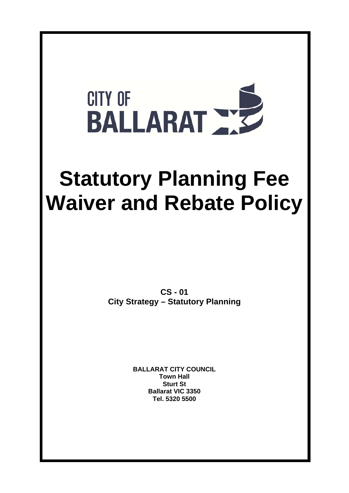

# **Statutory Planning Fee Waiver and Rebate Policy**

**CS - 01 City Strategy – Statutory Planning** 

> **BALLARAT CITY COUNCIL Town Hall Sturt St Ballarat VIC 3350 Tel. 5320 5500**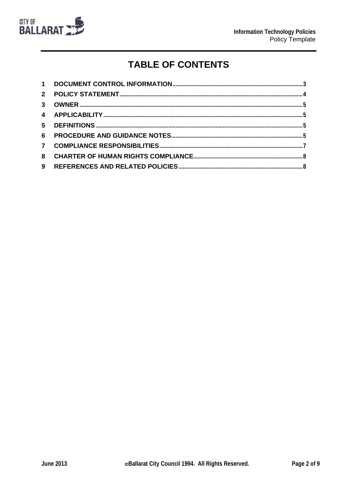

# **TABLE OF CONTENTS**

| $1 \quad$      |  |
|----------------|--|
| 2 <sup>1</sup> |  |
| $\mathbf{3}$   |  |
|                |  |
|                |  |
| 6              |  |
|                |  |
| 8              |  |
| 9              |  |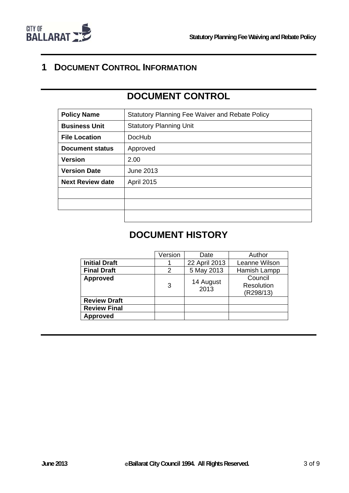

## **1 DOCUMENT CONTROL INFORMATION**

# **DOCUMENT CONTROL**

| <b>Policy Name</b>      | <b>Statutory Planning Fee Waiver and Rebate Policy</b> |  |  |  |
|-------------------------|--------------------------------------------------------|--|--|--|
| <b>Business Unit</b>    | <b>Statutory Planning Unit</b>                         |  |  |  |
| <b>File Location</b>    | <b>DocHub</b>                                          |  |  |  |
| <b>Document status</b>  | Approved                                               |  |  |  |
| <b>Version</b>          | 2.00                                                   |  |  |  |
| <b>Version Date</b>     | June 2013                                              |  |  |  |
| <b>Next Review date</b> | <b>April 2015</b>                                      |  |  |  |
|                         |                                                        |  |  |  |
|                         |                                                        |  |  |  |
|                         |                                                        |  |  |  |

## **DOCUMENT HISTORY**

|                      | Version | Date              | Author                             |
|----------------------|---------|-------------------|------------------------------------|
| <b>Initial Draft</b> |         | 22 April 2013     | Leanne Wilson                      |
| <b>Final Draft</b>   | 2       | 5 May 2013        | Hamish Lampp                       |
| <b>Approved</b>      | 3       | 14 August<br>2013 | Council<br>Resolution<br>(R298/13) |
| <b>Review Draft</b>  |         |                   |                                    |
| <b>Review Final</b>  |         |                   |                                    |
| <b>Approved</b>      |         |                   |                                    |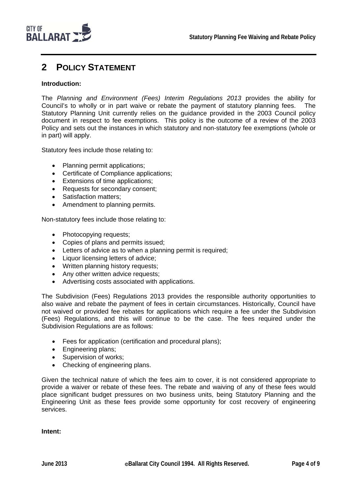

## **2 POLICY STATEMENT**

#### **Introduction:**

The *Planning and Environment (Fees) Interim Regulations 2013* provides the ability for Council's to wholly or in part waive or rebate the payment of statutory planning fees. The Statutory Planning Unit currently relies on the guidance provided in the 2003 Council policy document in respect to fee exemptions. This policy is the outcome of a review of the 2003 Policy and sets out the instances in which statutory and non-statutory fee exemptions (whole or in part) will apply.

Statutory fees include those relating to:

- Planning permit applications;
- Certificate of Compliance applications;
- Extensions of time applications;
- Requests for secondary consent;
- Satisfaction matters;
- Amendment to planning permits.

Non-statutory fees include those relating to:

- Photocopying requests;
- Copies of plans and permits issued;
- Letters of advice as to when a planning permit is required;
- Liquor licensing letters of advice;
- Written planning history requests;
- Any other written advice requests;
- Advertising costs associated with applications.

The Subdivision (Fees) Regulations 2013 provides the responsible authority opportunities to also waive and rebate the payment of fees in certain circumstances. Historically, Council have not waived or provided fee rebates for applications which require a fee under the Subdivision (Fees) Regulations, and this will continue to be the case. The fees required under the Subdivision Regulations are as follows:

- Fees for application (certification and procedural plans);
- Engineering plans;
- Supervision of works:
- Checking of engineering plans.

Given the technical nature of which the fees aim to cover, it is not considered appropriate to provide a waiver or rebate of these fees. The rebate and waiving of any of these fees would place significant budget pressures on two business units, being Statutory Planning and the Engineering Unit as these fees provide some opportunity for cost recovery of engineering services.

**Intent:**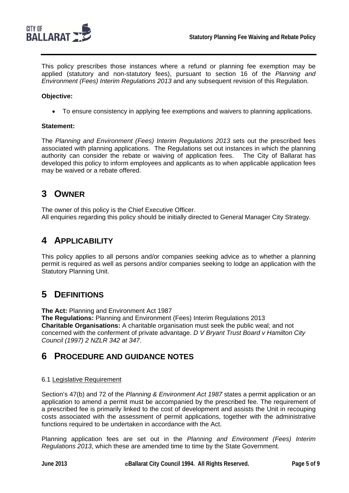

This policy prescribes those instances where a refund or planning fee exemption may be applied (statutory and non-statutory fees), pursuant to section 16 of the *Planning and Environment (Fees) Interim Regulations 2013* and any subsequent revision of this Regulation.

### **Objective:**

To ensure consistency in applying fee exemptions and waivers to planning applications.

#### **Statement:**

The *Planning and Environment (Fees) Interim Regulations 2013* sets out the prescribed fees associated with planning applications. The Regulations set out instances in which the planning authority can consider the rebate or waiving of application fees. The City of Ballarat has developed this policy to inform employees and applicants as to when applicable application fees may be waived or a rebate offered.

## **3 OWNER**

The owner of this policy is the Chief Executive Officer. All enquiries regarding this policy should be initially directed to General Manager City Strategy.

## **4 APPLICABILITY**

This policy applies to all persons and/or companies seeking advice as to whether a planning permit is required as well as persons and/or companies seeking to lodge an application with the Statutory Planning Unit.

## **5 DEFINITIONS**

**The Act:** Planning and Environment Act 1987

**The Regulations:** Planning and Environment (Fees) Interim Regulations 2013 **Charitable Organisations:** A charitable organisation must seek the public weal; and not concerned with the conferment of private advantage. *D V Bryant Trust Board v Hamilton City Council (1997) 2 NZLR 342 at 347*.

## **6 PROCEDURE AND GUIDANCE NOTES**

#### 6.1 Legislative Requirement

Section's 47(b) and 72 of the *Planning & Environment Act 1987* states a permit application or an application to amend a permit must be accompanied by the prescribed fee. The requirement of a prescribed fee is primarily linked to the cost of development and assists the Unit in recouping costs associated with the assessment of permit applications, together with the administrative functions required to be undertaken in accordance with the Act.

Planning application fees are set out in the *Planning and Environment (Fees) Interim Regulations 2013*, which these are amended time to time by the State Government.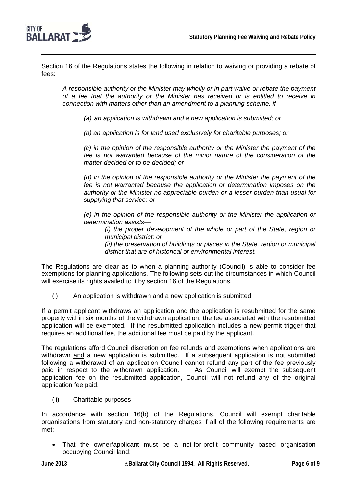

Section 16 of the Regulations states the following in relation to waiving or providing a rebate of fees:

*A responsible authority or the Minister may wholly or in part waive or rebate the payment of a fee that the authority or the Minister has received or is entitled to receive in connection with matters other than an amendment to a planning scheme, if—* 

*(a) an application is withdrawn and a new application is submitted; or* 

*(b) an application is for land used exclusively for charitable purposes; or* 

*(c) in the opinion of the responsible authority or the Minister the payment of the fee is not warranted because of the minor nature of the consideration of the matter decided or to be decided; or* 

*(d) in the opinion of the responsible authority or the Minister the payment of the fee is not warranted because the application or determination imposes on the authority or the Minister no appreciable burden or a lesser burden than usual for supplying that service; or* 

*(e) in the opinion of the responsible authority or the Minister the application or determination assists—* 

*(i) the proper development of the whole or part of the State, region or municipal district; or* 

*(ii) the preservation of buildings or places in the State, region or municipal district that are of historical or environmental interest.* 

The Regulations are clear as to when a planning authority (Council) is able to consider fee exemptions for planning applications. The following sets out the circumstances in which Council will exercise its rights availed to it by section 16 of the Regulations.

(i) An application is withdrawn and a new application is submitted

If a permit applicant withdraws an application and the application is resubmitted for the same property within six months of the withdrawn application, the fee associated with the resubmitted application will be exempted. If the resubmitted application includes a new permit trigger that requires an additional fee, the additional fee must be paid by the applicant.

The regulations afford Council discretion on fee refunds and exemptions when applications are withdrawn and a new application is submitted. If a subsequent application is not submitted following a withdrawal of an application Council cannot refund any part of the fee previously paid in respect to the withdrawn application. As Council will exempt the subsequent application fee on the resubmitted application, Council will not refund any of the original application fee paid.

(ii) Charitable purposes

In accordance with section 16(b) of the Regulations, Council will exempt charitable organisations from statutory and non-statutory charges if all of the following requirements are met:

 That the owner/applicant must be a not-for-profit community based organisation occupying Council land;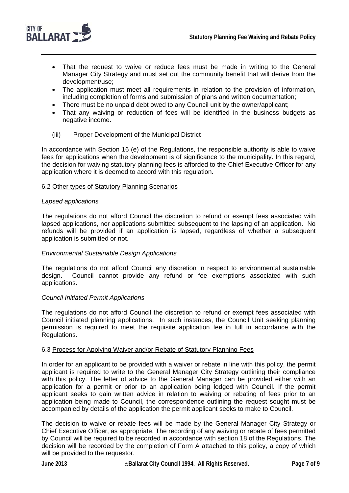

- That the request to waive or reduce fees must be made in writing to the General Manager City Strategy and must set out the community benefit that will derive from the development/use;
- The application must meet all requirements in relation to the provision of information, including completion of forms and submission of plans and written documentation;
- There must be no unpaid debt owed to any Council unit by the owner/applicant;
- That any waiving or reduction of fees will be identified in the business budgets as negative income.

#### (iii) Proper Development of the Municipal District

In accordance with Section 16 (e) of the Regulations, the responsible authority is able to waive fees for applications when the development is of significance to the municipality. In this regard, the decision for waiving statutory planning fees is afforded to the Chief Executive Officer for any application where it is deemed to accord with this regulation.

#### 6.2 Other types of Statutory Planning Scenarios

#### *Lapsed applications*

The regulations do not afford Council the discretion to refund or exempt fees associated with lapsed applications, nor applications submitted subsequent to the lapsing of an application. No refunds will be provided if an application is lapsed, regardless of whether a subsequent application is submitted or not.

#### *Environmental Sustainable Design Applications*

The regulations do not afford Council any discretion in respect to environmental sustainable design. Council cannot provide any refund or fee exemptions associated with such applications.

#### *Council Initiated Permit Applications*

The regulations do not afford Council the discretion to refund or exempt fees associated with Council initiated planning applications. In such instances, the Council Unit seeking planning permission is required to meet the requisite application fee in full in accordance with the Regulations.

#### 6.3 Process for Applying Waiver and/or Rebate of Statutory Planning Fees

In order for an applicant to be provided with a waiver or rebate in line with this policy, the permit applicant is required to write to the General Manager City Strategy outlining their compliance with this policy. The letter of advice to the General Manager can be provided either with an application for a permit or prior to an application being lodged with Council. If the permit applicant seeks to gain written advice in relation to waiving or rebating of fees prior to an application being made to Council, the correspondence outlining the request sought must be accompanied by details of the application the permit applicant seeks to make to Council.

The decision to waive or rebate fees will be made by the General Manager City Strategy or Chief Executive Officer, as appropriate. The recording of any waiving or rebate of fees permitted by Council will be required to be recorded in accordance with section 18 of the Regulations. The decision will be recorded by the completion of Form A attached to this policy, a copy of which will be provided to the requestor.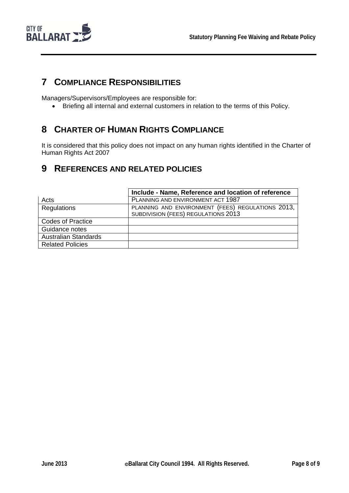

## **7 COMPLIANCE RESPONSIBILITIES**

Managers/Supervisors/Employees are responsible for:

Briefing all internal and external customers in relation to the terms of this Policy.

## **8 CHARTER OF HUMAN RIGHTS COMPLIANCE**

It is considered that this policy does not impact on any human rights identified in the Charter of Human Rights Act 2007

## **9 REFERENCES AND RELATED POLICIES**

|                             | Include - Name, Reference and location of reference                                      |
|-----------------------------|------------------------------------------------------------------------------------------|
| Acts                        | PLANNING AND ENVIRONMENT ACT 1987                                                        |
| Regulations                 | PLANNING AND ENVIRONMENT (FEES) REGULATIONS 2013,<br>SUBDIVISION (FEES) REGULATIONS 2013 |
| <b>Codes of Practice</b>    |                                                                                          |
| Guidance notes              |                                                                                          |
| <b>Australian Standards</b> |                                                                                          |
| <b>Related Policies</b>     |                                                                                          |